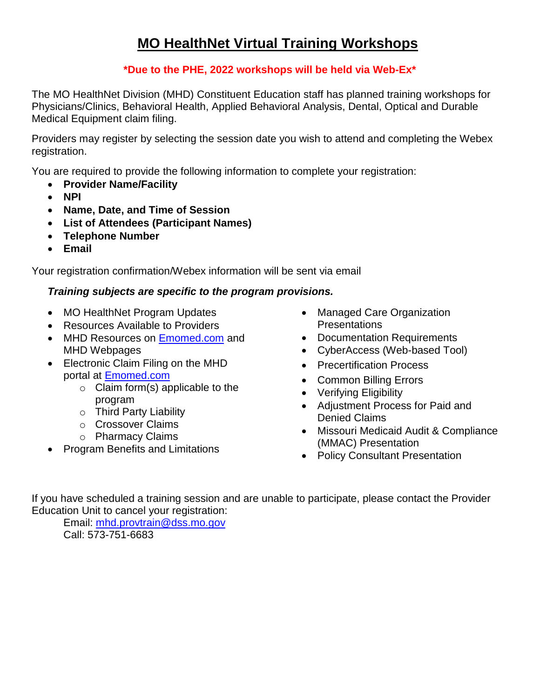## **MO HealthNet Virtual Training Workshops**

## **\*Due to the PHE, 2022 workshops will be held via Web-Ex\***

The MO HealthNet Division (MHD) Constituent Education staff has planned training workshops for Physicians/Clinics, Behavioral Health, Applied Behavioral Analysis, Dental, Optical and Durable Medical Equipment claim filing.

 Providers may register by selecting the session date you wish to attend and completing the Webex registration.

You are required to provide the following information to complete your registration:

- **Provider Name/Facility**
- **NPI**
- **Name, Date, and Time of Session**
- **List of Attendees (Participant Names)**
- **Telephone Number**
- **Email**

Your registration confirmation/Webex information will be sent via email

## *Training subjects are specific to the program provisions.*

- MO HealthNet Program Updates
- Resources Available to Providers
- MHD Resources on [Emomed.com](https://www.emomed.com/portal/wps/portal/login/!ut/p/c5/04_SB8K8xLLM9MSSzPy8xBz9CP0os3hnd0cPE3MfAwN3vyBnA08TJxMjD3cnIwNfQ6B8pFm8AQ7gaEBAdzjIPrz6_Tzyc1P1C3IjDHQdFRUBVMRIMA!!/dl3/d3/L2dBISEvZ0FBIS9nQSEh/) and MHD Webpages
- Electronic Claim Filing on the MHD portal at [Emomed.com](https://www.emomed.com/portal/wps/portal/login/!ut/p/c5/04_SB8K8xLLM9MSSzPy8xBz9CP0os3hnd0cPE3MfAwN3vyBnA08TJxMjD3cnIwNfQ6B8pFm8AQ7gaEBAdzjIPrz6_Tzyc1P1C3IjDHQdFRUBVMRIMA!!/dl3/d3/L2dBISEvZ0FBIS9nQSEh/) 
	- $\circ$  Claim form(s) applicable to the program
	- o Third Party Liability
	- o Crossover Claims
	- o Pharmacy Claims
- Program Benefits and Limitations
- Managed Care Organization **Presentations**
- Documentation Requirements
- CyberAccess (Web-based Tool)
- Precertification Process
- Common Billing Errors
- Verifying Eligibility
- Adjustment Process for Paid and Denied Claims
- Missouri Medicaid Audit & Compliance (MMAC) Presentation
- Policy Consultant Presentation

If you have scheduled a training session and are unable to participate, please contact the Provider Education Unit to cancel your registration:

Email: [mhd.provtrain@dss.mo.gov](mailto:mhd.provtrain@dss.mo.gov)  Call: 573-751-6683